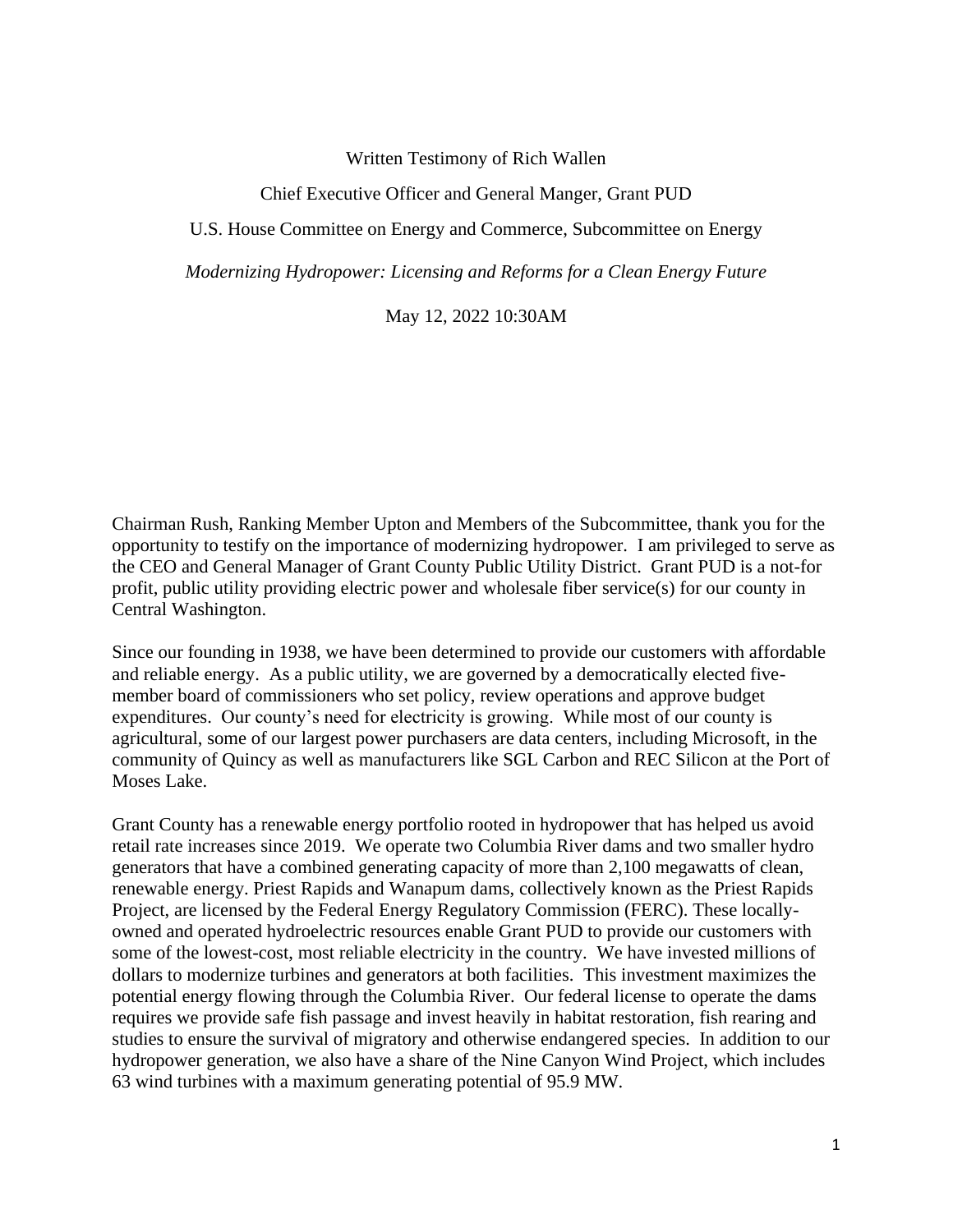## Written Testimony of Rich Wallen

## Chief Executive Officer and General Manger, Grant PUD

U.S. House Committee on Energy and Commerce, Subcommittee on Energy

*Modernizing Hydropower: Licensing and Reforms for a Clean Energy Future*

May 12, 2022 10:30AM

Chairman Rush, Ranking Member Upton and Members of the Subcommittee, thank you for the opportunity to testify on the importance of modernizing hydropower. I am privileged to serve as the CEO and General Manager of Grant County Public Utility District. Grant PUD is a not-for profit, public utility providing electric power and wholesale fiber service(s) for our county in Central Washington.

Since our founding in 1938, we have been determined to provide our customers with affordable and reliable energy. As a public utility, we are governed by a democratically elected fivemember board of commissioners who set policy, review operations and approve budget expenditures. Our county's need for electricity is growing. While most of our county is agricultural, some of our largest power purchasers are data centers, including Microsoft, in the community of Quincy as well as manufacturers like SGL Carbon and REC Silicon at the Port of Moses Lake.

Grant County has a renewable energy portfolio rooted in hydropower that has helped us avoid retail rate increases since 2019. We operate two Columbia River dams and two smaller hydro generators that have a combined generating capacity of more than 2,100 megawatts of clean, renewable energy. Priest Rapids and Wanapum dams, collectively known as the Priest Rapids Project, are licensed by the Federal Energy Regulatory Commission (FERC). These locallyowned and operated hydroelectric resources enable Grant PUD to provide our customers with some of the lowest-cost, most reliable electricity in the country. We have invested millions of dollars to modernize turbines and generators at both facilities. This investment maximizes the potential energy flowing through the Columbia River. Our federal license to operate the dams requires we provide safe fish passage and invest heavily in habitat restoration, fish rearing and studies to ensure the survival of migratory and otherwise endangered species. In addition to our hydropower generation, we also have a share of the Nine Canyon Wind Project, which includes 63 wind turbines with a maximum generating potential of 95.9 MW.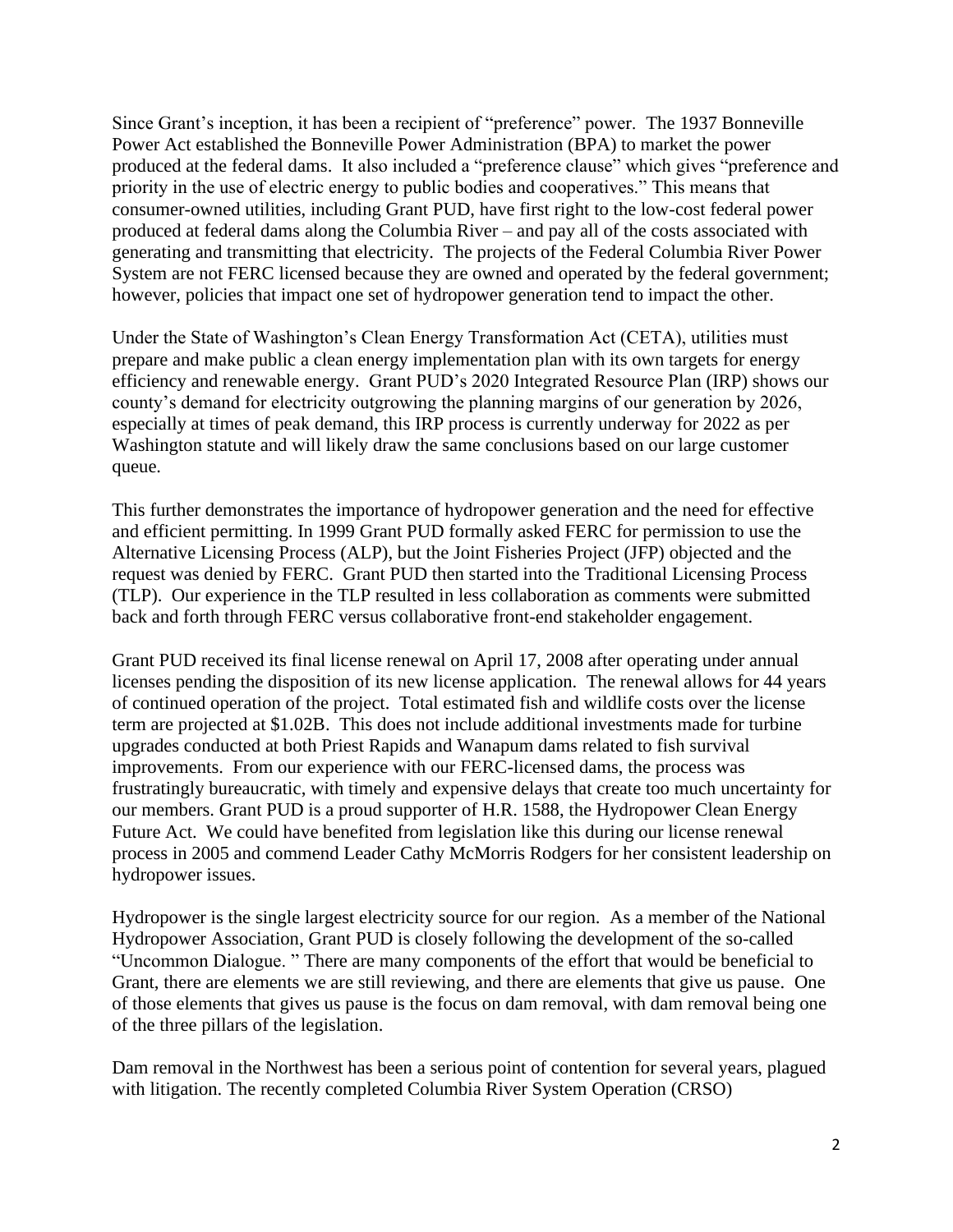Since Grant's inception, it has been a recipient of "preference" power. The 1937 Bonneville Power Act established the Bonneville Power Administration (BPA) to market the power produced at the federal dams. It also included a "preference clause" which gives "preference and priority in the use of electric energy to public bodies and cooperatives." This means that consumer-owned utilities, including Grant PUD, have first right to the low-cost federal power produced at federal dams along the Columbia River – and pay all of the costs associated with generating and transmitting that electricity. The projects of the Federal Columbia River Power System are not FERC licensed because they are owned and operated by the federal government; however, policies that impact one set of hydropower generation tend to impact the other.

Under the State of Washington's Clean Energy Transformation Act (CETA), utilities must prepare and make public a clean energy implementation plan with its own targets for energy efficiency and renewable energy. Grant PUD's 2020 Integrated Resource Plan (IRP) shows our county's demand for electricity outgrowing the planning margins of our generation by 2026, especially at times of peak demand, this IRP process is currently underway for 2022 as per Washington statute and will likely draw the same conclusions based on our large customer queue.

This further demonstrates the importance of hydropower generation and the need for effective and efficient permitting. In 1999 Grant PUD formally asked FERC for permission to use the Alternative Licensing Process (ALP), but the Joint Fisheries Project (JFP) objected and the request was denied by FERC. Grant PUD then started into the Traditional Licensing Process (TLP). Our experience in the TLP resulted in less collaboration as comments were submitted back and forth through FERC versus collaborative front-end stakeholder engagement.

Grant PUD received its final license renewal on April 17, 2008 after operating under annual licenses pending the disposition of its new license application. The renewal allows for 44 years of continued operation of the project. Total estimated fish and wildlife costs over the license term are projected at \$1.02B. This does not include additional investments made for turbine upgrades conducted at both Priest Rapids and Wanapum dams related to fish survival improvements. From our experience with our FERC-licensed dams, the process was frustratingly bureaucratic, with timely and expensive delays that create too much uncertainty for our members. Grant PUD is a proud supporter of H.R. 1588, the Hydropower Clean Energy Future Act. We could have benefited from legislation like this during our license renewal process in 2005 and commend Leader Cathy McMorris Rodgers for her consistent leadership on hydropower issues.

Hydropower is the single largest electricity source for our region. As a member of the National Hydropower Association, Grant PUD is closely following the development of the so-called "Uncommon Dialogue. " There are many components of the effort that would be beneficial to Grant, there are elements we are still reviewing, and there are elements that give us pause. One of those elements that gives us pause is the focus on dam removal, with dam removal being one of the three pillars of the legislation.

Dam removal in the Northwest has been a serious point of contention for several years, plagued with litigation. The recently completed Columbia River System Operation (CRSO)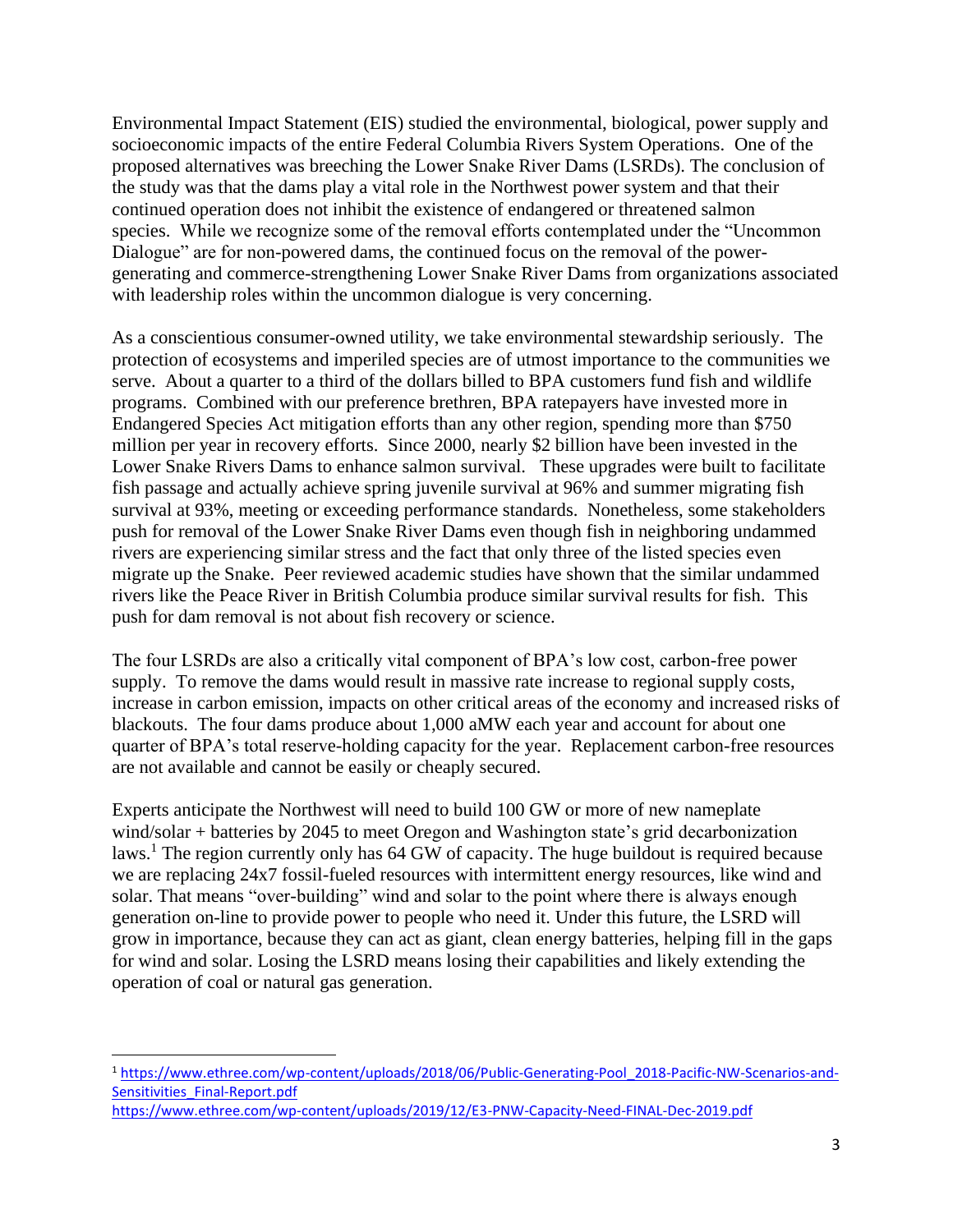Environmental Impact Statement (EIS) studied the environmental, biological, power supply and socioeconomic impacts of the entire Federal Columbia Rivers System Operations. One of the proposed alternatives was breeching the Lower Snake River Dams (LSRDs). The conclusion of the study was that the dams play a vital role in the Northwest power system and that their continued operation does not inhibit the existence of endangered or threatened salmon species. While we recognize some of the removal efforts contemplated under the "Uncommon Dialogue" are for non-powered dams, the continued focus on the removal of the powergenerating and commerce-strengthening Lower Snake River Dams from organizations associated with leadership roles within the uncommon dialogue is very concerning.

As a conscientious consumer-owned utility, we take environmental stewardship seriously. The protection of ecosystems and imperiled species are of utmost importance to the communities we serve. About a quarter to a third of the dollars billed to BPA customers fund fish and wildlife programs. Combined with our preference brethren, BPA ratepayers have invested more in Endangered Species Act mitigation efforts than any other region, spending more than \$750 million per year in recovery efforts. Since 2000, nearly \$2 billion have been invested in the Lower Snake Rivers Dams to enhance salmon survival. These upgrades were built to facilitate fish passage and actually achieve spring juvenile survival at 96% and summer migrating fish survival at 93%, meeting or exceeding performance standards. Nonetheless, some stakeholders push for removal of the Lower Snake River Dams even though fish in neighboring undammed rivers are experiencing similar stress and the fact that only three of the listed species even migrate up the Snake. Peer reviewed academic studies have shown that the similar undammed rivers like the Peace River in British Columbia produce similar survival results for fish. This push for dam removal is not about fish recovery or science.

The four LSRDs are also a critically vital component of BPA's low cost, carbon-free power supply. To remove the dams would result in massive rate increase to regional supply costs, increase in carbon emission, impacts on other critical areas of the economy and increased risks of blackouts. The four dams produce about 1,000 aMW each year and account for about one quarter of BPA's total reserve-holding capacity for the year. Replacement carbon-free resources are not available and cannot be easily or cheaply secured.

Experts anticipate the Northwest will need to build 100 GW or more of new nameplate wind/solar + batteries by 2045 to meet Oregon and Washington state's grid decarbonization laws.<sup>1</sup> The region currently only has 64 GW of capacity. The huge buildout is required because we are replacing 24x7 fossil-fueled resources with intermittent energy resources, like wind and solar. That means "over-building" wind and solar to the point where there is always enough generation on-line to provide power to people who need it. Under this future, the LSRD will grow in importance, because they can act as giant, clean energy batteries, helping fill in the gaps for wind and solar. Losing the LSRD means losing their capabilities and likely extending the operation of coal or natural gas generation.

<sup>1</sup> [https://www.ethree.com/wp-content/uploads/2018/06/Public-Generating-Pool\\_2018-Pacific-NW-Scenarios-and-](https://www.ethree.com/wp-content/uploads/2018/06/Public-Generating-Pool_2018-Pacific-NW-Scenarios-and-Sensitivities_Final-Report.pdf)[Sensitivities\\_Final-Report.pdf](https://www.ethree.com/wp-content/uploads/2018/06/Public-Generating-Pool_2018-Pacific-NW-Scenarios-and-Sensitivities_Final-Report.pdf)

<https://www.ethree.com/wp-content/uploads/2019/12/E3-PNW-Capacity-Need-FINAL-Dec-2019.pdf>